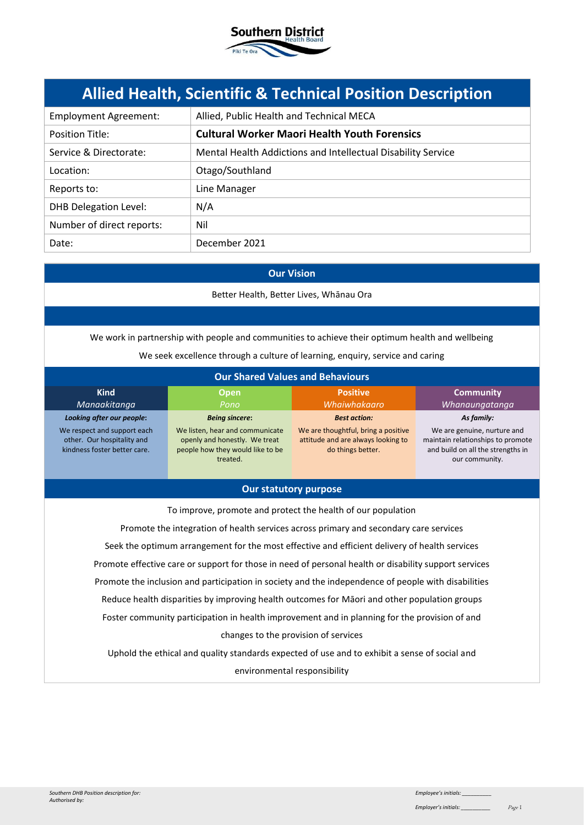

# **Allied Health, Scientific & Technical Position Description**

| <b>Employment Agreement:</b> | Allied, Public Health and Technical MECA                     |  |
|------------------------------|--------------------------------------------------------------|--|
| <b>Position Title:</b>       | <b>Cultural Worker Maori Health Youth Forensics</b>          |  |
| Service & Directorate:       | Mental Health Addictions and Intellectual Disability Service |  |
| Location:                    | Otago/Southland                                              |  |
| Reports to:                  | Line Manager                                                 |  |
| <b>DHB Delegation Level:</b> | N/A                                                          |  |
| Number of direct reports:    | Nil                                                          |  |
| Date:                        | December 2021                                                |  |

#### **Our Vision**

Better Health, Better Lives, Whānau Ora

We work in partnership with people and communities to achieve their optimum health and wellbeing

We seek excellence through a culture of learning, enquiry, service and caring

| <b>Our Shared Values and Behaviours</b>                                                   |                                                                                                                  |                                                                                                |                                                                                                                         |
|-------------------------------------------------------------------------------------------|------------------------------------------------------------------------------------------------------------------|------------------------------------------------------------------------------------------------|-------------------------------------------------------------------------------------------------------------------------|
| <b>Kind</b><br>Manaakitanga                                                               | <b>Open</b><br>Pono                                                                                              | <b>Positive</b><br>Whaiwhakaaro                                                                | <b>Community</b><br>Whanaungatanga                                                                                      |
| Looking after our people:                                                                 | <b>Being sincere:</b>                                                                                            | <b>Best action:</b>                                                                            | As family:                                                                                                              |
| We respect and support each<br>other. Our hospitality and<br>kindness foster better care. | We listen, hear and communicate<br>openly and honestly. We treat<br>people how they would like to be<br>treated. | We are thoughtful, bring a positive<br>attitude and are always looking to<br>do things better. | We are genuine, nurture and<br>maintain relationships to promote<br>and build on all the strengths in<br>our community. |

#### **Our statutory purpose**

To improve, promote and protect the health of our population Promote the integration of health services across primary and secondary care services Seek the optimum arrangement for the most effective and efficient delivery of health services Promote effective care or support for those in need of personal health or disability support services Promote the inclusion and participation in society and the independence of people with disabilities Reduce health disparities by improving health outcomes for Māori and other population groups Foster community participation in health improvement and in planning for the provision of and changes to the provision of services Uphold the ethical and quality standards expected of use and to exhibit a sense of social and

environmental responsibility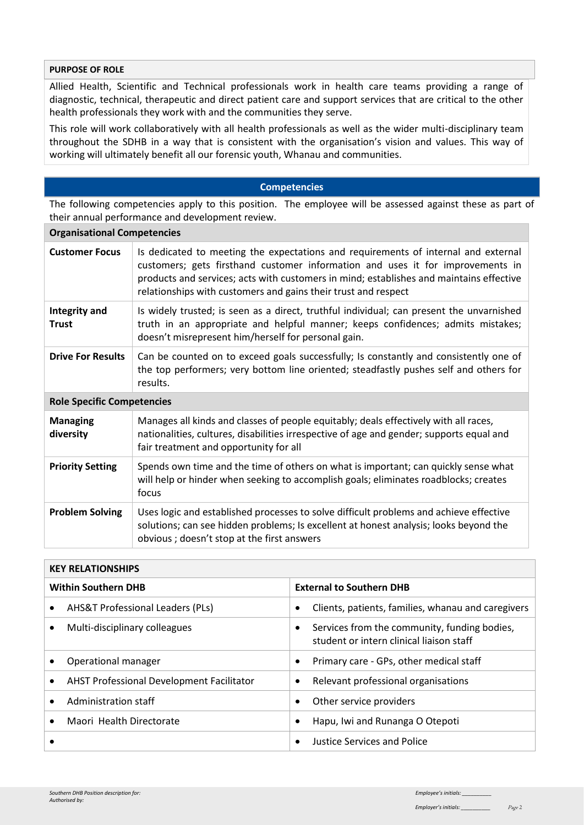## **PURPOSE OF ROLE**

Allied Health, Scientific and Technical professionals work in health care teams providing a range of diagnostic, technical, therapeutic and direct patient care and support services that are critical to the other health professionals they work with and the communities they serve.

This role will work collaboratively with all health professionals as well as the wider multi-disciplinary team throughout the SDHB in a way that is consistent with the organisation's vision and values. This way of working will ultimately benefit all our forensic youth, Whanau and communities.

#### **Competencies**

The following competencies apply to this position. The employee will be assessed against these as part of their annual performance and development review.

| <b>Organisational Competencies</b>   |                                                                                                                                                                                                                                                                                                                                   |  |  |
|--------------------------------------|-----------------------------------------------------------------------------------------------------------------------------------------------------------------------------------------------------------------------------------------------------------------------------------------------------------------------------------|--|--|
| <b>Customer Focus</b>                | Is dedicated to meeting the expectations and requirements of internal and external<br>customers; gets firsthand customer information and uses it for improvements in<br>products and services; acts with customers in mind; establishes and maintains effective<br>relationships with customers and gains their trust and respect |  |  |
| <b>Integrity and</b><br><b>Trust</b> | Is widely trusted; is seen as a direct, truthful individual; can present the unvarnished<br>truth in an appropriate and helpful manner; keeps confidences; admits mistakes;<br>doesn't misrepresent him/herself for personal gain.                                                                                                |  |  |
| <b>Drive For Results</b>             | Can be counted on to exceed goals successfully; Is constantly and consistently one of<br>the top performers; very bottom line oriented; steadfastly pushes self and others for<br>results.                                                                                                                                        |  |  |
| <b>Role Specific Competencies</b>    |                                                                                                                                                                                                                                                                                                                                   |  |  |
| <b>Managing</b><br>diversity         | Manages all kinds and classes of people equitably; deals effectively with all races,<br>nationalities, cultures, disabilities irrespective of age and gender; supports equal and<br>fair treatment and opportunity for all                                                                                                        |  |  |
| <b>Priority Setting</b>              | Spends own time and the time of others on what is important; can quickly sense what<br>will help or hinder when seeking to accomplish goals; eliminates roadblocks; creates<br>focus                                                                                                                                              |  |  |
| <b>Problem Solving</b>               | Uses logic and established processes to solve difficult problems and achieve effective<br>solutions; can see hidden problems; Is excellent at honest analysis; looks beyond the<br>obvious; doesn't stop at the first answers                                                                                                     |  |  |

| <b>KEY RELATIONSHIPS</b>   |                                                  |                                 |                                                                                          |
|----------------------------|--------------------------------------------------|---------------------------------|------------------------------------------------------------------------------------------|
| <b>Within Southern DHB</b> |                                                  | <b>External to Southern DHB</b> |                                                                                          |
| $\bullet$                  | <b>AHS&amp;T Professional Leaders (PLs)</b>      |                                 | Clients, patients, families, whanau and caregivers                                       |
| $\bullet$                  | Multi-disciplinary colleagues                    |                                 | Services from the community, funding bodies,<br>student or intern clinical liaison staff |
|                            | Operational manager                              | $\bullet$                       | Primary care - GPs, other medical staff                                                  |
| $\bullet$                  | <b>AHST Professional Development Facilitator</b> | $\bullet$                       | Relevant professional organisations                                                      |
|                            | Administration staff                             | $\bullet$                       | Other service providers                                                                  |
|                            | Maori Health Directorate                         | ٠                               | Hapu, Iwi and Runanga O Otepoti                                                          |
|                            |                                                  |                                 | Justice Services and Police                                                              |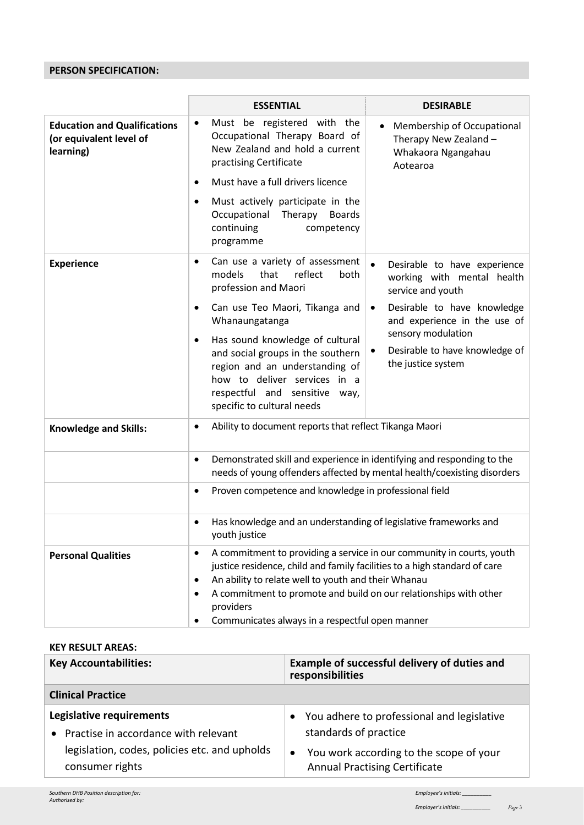## **PERSON SPECIFICATION:**

|                                                                             | <b>ESSENTIAL</b>                                                                                                                                                                                                                                                                                                                                                                           | <b>DESIRABLE</b>                                                                                                                                                                                                                          |  |
|-----------------------------------------------------------------------------|--------------------------------------------------------------------------------------------------------------------------------------------------------------------------------------------------------------------------------------------------------------------------------------------------------------------------------------------------------------------------------------------|-------------------------------------------------------------------------------------------------------------------------------------------------------------------------------------------------------------------------------------------|--|
| <b>Education and Qualifications</b><br>(or equivalent level of<br>learning) | Must be registered with the<br>$\bullet$<br>Occupational Therapy Board of<br>New Zealand and hold a current<br>practising Certificate<br>Must have a full drivers licence<br>$\bullet$<br>Must actively participate in the<br>$\bullet$<br>Occupational<br>Therapy<br><b>Boards</b><br>continuing<br>competency<br>programme                                                               | Membership of Occupational<br>Therapy New Zealand -<br>Whakaora Ngangahau<br>Aotearoa                                                                                                                                                     |  |
| <b>Experience</b>                                                           | Can use a variety of assessment<br>٠<br>reflect<br>models<br>that<br>both<br>profession and Maori<br>Can use Teo Maori, Tikanga and<br>$\bullet$<br>Whanaungatanga<br>Has sound knowledge of cultural<br>$\bullet$<br>and social groups in the southern<br>region and an understanding of<br>how to deliver services in a<br>respectful and sensitive way,<br>specific to cultural needs   | Desirable to have experience<br>working with mental health<br>service and youth<br>Desirable to have knowledge<br>$\bullet$<br>and experience in the use of<br>sensory modulation<br>Desirable to have knowledge of<br>the justice system |  |
| <b>Knowledge and Skills:</b>                                                | Ability to document reports that reflect Tikanga Maori<br>$\bullet$                                                                                                                                                                                                                                                                                                                        |                                                                                                                                                                                                                                           |  |
|                                                                             | Demonstrated skill and experience in identifying and responding to the<br>$\bullet$<br>needs of young offenders affected by mental health/coexisting disorders                                                                                                                                                                                                                             |                                                                                                                                                                                                                                           |  |
|                                                                             | Proven competence and knowledge in professional field<br>٠                                                                                                                                                                                                                                                                                                                                 |                                                                                                                                                                                                                                           |  |
|                                                                             | Has knowledge and an understanding of legislative frameworks and<br>$\bullet$<br>youth justice                                                                                                                                                                                                                                                                                             |                                                                                                                                                                                                                                           |  |
| <b>Personal Qualities</b>                                                   | A commitment to providing a service in our community in courts, youth<br>$\bullet$<br>justice residence, child and family facilities to a high standard of care<br>An ability to relate well to youth and their Whanau<br>$\bullet$<br>A commitment to promote and build on our relationships with other<br>$\bullet$<br>providers<br>Communicates always in a respectful open manner<br>٠ |                                                                                                                                                                                                                                           |  |

### **KEY RESULT AREAS:**

| <b>Key Accountabilities:</b>                  | Example of successful delivery of duties and<br>responsibilities |  |
|-----------------------------------------------|------------------------------------------------------------------|--|
| <b>Clinical Practice</b>                      |                                                                  |  |
| Legislative requirements                      | • You adhere to professional and legislative                     |  |
| • Practise in accordance with relevant        | standards of practice                                            |  |
| legislation, codes, policies etc. and upholds | You work according to the scope of your                          |  |
| consumer rights                               | <b>Annual Practising Certificate</b>                             |  |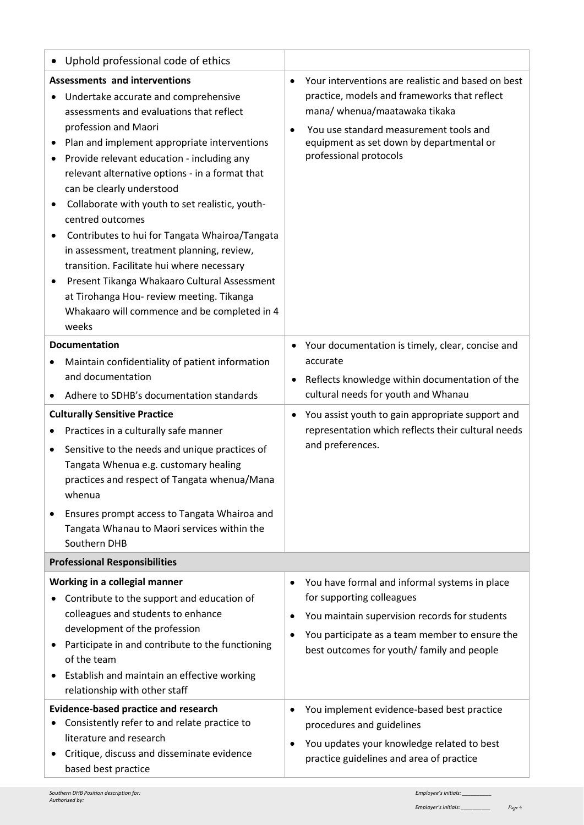| $\bullet$                            | Uphold professional code of ethics                                                                                                                                                                                                                                                                                                                                                                                                                                                                                                                                                                                                                                |           |                                                                                                                                                                                               |
|--------------------------------------|-------------------------------------------------------------------------------------------------------------------------------------------------------------------------------------------------------------------------------------------------------------------------------------------------------------------------------------------------------------------------------------------------------------------------------------------------------------------------------------------------------------------------------------------------------------------------------------------------------------------------------------------------------------------|-----------|-----------------------------------------------------------------------------------------------------------------------------------------------------------------------------------------------|
|                                      | <b>Assessments and interventions</b>                                                                                                                                                                                                                                                                                                                                                                                                                                                                                                                                                                                                                              | $\bullet$ | Your interventions are realistic and based on best                                                                                                                                            |
| ٠                                    | Undertake accurate and comprehensive<br>assessments and evaluations that reflect<br>profession and Maori<br>Plan and implement appropriate interventions<br>Provide relevant education - including any<br>relevant alternative options - in a format that<br>can be clearly understood<br>Collaborate with youth to set realistic, youth-<br>centred outcomes<br>Contributes to hui for Tangata Whairoa/Tangata<br>in assessment, treatment planning, review,<br>transition. Facilitate hui where necessary<br>Present Tikanga Whakaaro Cultural Assessment<br>at Tirohanga Hou- review meeting. Tikanga<br>Whakaaro will commence and be completed in 4<br>weeks | $\bullet$ | practice, models and frameworks that reflect<br>mana/ whenua/maatawaka tikaka<br>You use standard measurement tools and<br>equipment as set down by departmental or<br>professional protocols |
|                                      | <b>Documentation</b>                                                                                                                                                                                                                                                                                                                                                                                                                                                                                                                                                                                                                                              | ٠         | Your documentation is timely, clear, concise and                                                                                                                                              |
| $\bullet$                            | Maintain confidentiality of patient information<br>and documentation                                                                                                                                                                                                                                                                                                                                                                                                                                                                                                                                                                                              |           | accurate                                                                                                                                                                                      |
|                                      | Adhere to SDHB's documentation standards                                                                                                                                                                                                                                                                                                                                                                                                                                                                                                                                                                                                                          | ٠         | Reflects knowledge within documentation of the<br>cultural needs for youth and Whanau                                                                                                         |
| <b>Culturally Sensitive Practice</b> |                                                                                                                                                                                                                                                                                                                                                                                                                                                                                                                                                                                                                                                                   | $\bullet$ | You assist youth to gain appropriate support and                                                                                                                                              |
| ٠                                    | Practices in a culturally safe manner                                                                                                                                                                                                                                                                                                                                                                                                                                                                                                                                                                                                                             |           | representation which reflects their cultural needs                                                                                                                                            |
| ٠                                    | Sensitive to the needs and unique practices of<br>Tangata Whenua e.g. customary healing<br>practices and respect of Tangata whenua/Mana<br>whenua                                                                                                                                                                                                                                                                                                                                                                                                                                                                                                                 |           | and preferences.                                                                                                                                                                              |
|                                      | Ensures prompt access to Tangata Whairoa and<br>Tangata Whanau to Maori services within the<br>Southern DHB                                                                                                                                                                                                                                                                                                                                                                                                                                                                                                                                                       |           |                                                                                                                                                                                               |
| <b>Professional Responsibilities</b> |                                                                                                                                                                                                                                                                                                                                                                                                                                                                                                                                                                                                                                                                   |           |                                                                                                                                                                                               |
|                                      | Working in a collegial manner                                                                                                                                                                                                                                                                                                                                                                                                                                                                                                                                                                                                                                     | $\bullet$ | You have formal and informal systems in place                                                                                                                                                 |
|                                      | Contribute to the support and education of                                                                                                                                                                                                                                                                                                                                                                                                                                                                                                                                                                                                                        |           | for supporting colleagues                                                                                                                                                                     |
|                                      | colleagues and students to enhance                                                                                                                                                                                                                                                                                                                                                                                                                                                                                                                                                                                                                                |           | You maintain supervision records for students                                                                                                                                                 |
|                                      | development of the profession<br>Participate in and contribute to the functioning                                                                                                                                                                                                                                                                                                                                                                                                                                                                                                                                                                                 |           | You participate as a team member to ensure the                                                                                                                                                |
|                                      | of the team                                                                                                                                                                                                                                                                                                                                                                                                                                                                                                                                                                                                                                                       |           | best outcomes for youth/ family and people                                                                                                                                                    |
|                                      | Establish and maintain an effective working<br>relationship with other staff                                                                                                                                                                                                                                                                                                                                                                                                                                                                                                                                                                                      |           |                                                                                                                                                                                               |
|                                      | <b>Evidence-based practice and research</b>                                                                                                                                                                                                                                                                                                                                                                                                                                                                                                                                                                                                                       |           | You implement evidence-based best practice                                                                                                                                                    |
|                                      | Consistently refer to and relate practice to<br>literature and research                                                                                                                                                                                                                                                                                                                                                                                                                                                                                                                                                                                           |           | procedures and guidelines                                                                                                                                                                     |
|                                      | Critique, discuss and disseminate evidence                                                                                                                                                                                                                                                                                                                                                                                                                                                                                                                                                                                                                        |           | You updates your knowledge related to best                                                                                                                                                    |
|                                      | based best practice                                                                                                                                                                                                                                                                                                                                                                                                                                                                                                                                                                                                                                               |           | practice guidelines and area of practice                                                                                                                                                      |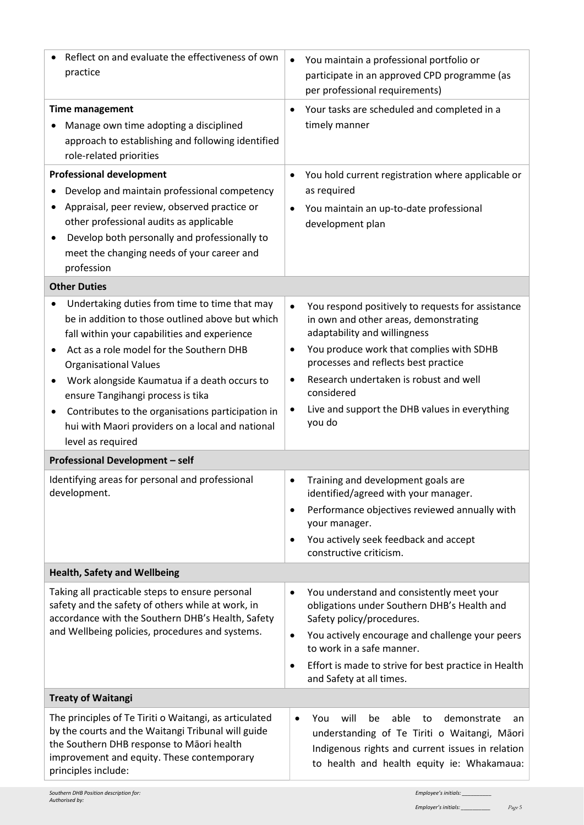| Reflect on and evaluate the effectiveness of own<br>practice                                                                                                                                                                                                                                                                                                                                                                                                                                                                                                                         | You maintain a professional portfolio or<br>participate in an approved CPD programme (as<br>per professional requirements)                                                                                                                                                                                                                                                                                                                                                                                                                                                                                                       |
|--------------------------------------------------------------------------------------------------------------------------------------------------------------------------------------------------------------------------------------------------------------------------------------------------------------------------------------------------------------------------------------------------------------------------------------------------------------------------------------------------------------------------------------------------------------------------------------|----------------------------------------------------------------------------------------------------------------------------------------------------------------------------------------------------------------------------------------------------------------------------------------------------------------------------------------------------------------------------------------------------------------------------------------------------------------------------------------------------------------------------------------------------------------------------------------------------------------------------------|
| <b>Time management</b><br>Manage own time adopting a disciplined<br>approach to establishing and following identified<br>role-related priorities                                                                                                                                                                                                                                                                                                                                                                                                                                     | Your tasks are scheduled and completed in a<br>$\bullet$<br>timely manner                                                                                                                                                                                                                                                                                                                                                                                                                                                                                                                                                        |
| <b>Professional development</b><br>Develop and maintain professional competency<br>Appraisal, peer review, observed practice or<br>other professional audits as applicable<br>Develop both personally and professionally to<br>meet the changing needs of your career and<br>profession                                                                                                                                                                                                                                                                                              | You hold current registration where applicable or<br>$\bullet$<br>as required<br>You maintain an up-to-date professional<br>$\bullet$<br>development plan                                                                                                                                                                                                                                                                                                                                                                                                                                                                        |
| <b>Other Duties</b><br>Undertaking duties from time to time that may<br>be in addition to those outlined above but which<br>fall within your capabilities and experience<br>Act as a role model for the Southern DHB<br><b>Organisational Values</b><br>Work alongside Kaumatua if a death occurs to<br>ensure Tangihangi process is tika<br>Contributes to the organisations participation in<br>hui with Maori providers on a local and national<br>level as required<br><b>Professional Development - self</b><br>Identifying areas for personal and professional<br>development. | You respond positively to requests for assistance<br>$\bullet$<br>in own and other areas, demonstrating<br>adaptability and willingness<br>You produce work that complies with SDHB<br>$\bullet$<br>processes and reflects best practice<br>Research undertaken is robust and well<br>٠<br>considered<br>Live and support the DHB values in everything<br>$\bullet$<br>you do<br>Training and development goals are<br>$\bullet$<br>identified/agreed with your manager.<br>Performance objectives reviewed annually with<br>٠<br>your manager.<br>You actively seek feedback and accept<br>$\bullet$<br>constructive criticism. |
| <b>Health, Safety and Wellbeing</b>                                                                                                                                                                                                                                                                                                                                                                                                                                                                                                                                                  |                                                                                                                                                                                                                                                                                                                                                                                                                                                                                                                                                                                                                                  |
| Taking all practicable steps to ensure personal<br>safety and the safety of others while at work, in<br>accordance with the Southern DHB's Health, Safety<br>and Wellbeing policies, procedures and systems.                                                                                                                                                                                                                                                                                                                                                                         | You understand and consistently meet your<br>$\bullet$<br>obligations under Southern DHB's Health and<br>Safety policy/procedures.<br>You actively encourage and challenge your peers<br>$\bullet$<br>to work in a safe manner.<br>Effort is made to strive for best practice in Health<br>٠<br>and Safety at all times.                                                                                                                                                                                                                                                                                                         |
| <b>Treaty of Waitangi</b>                                                                                                                                                                                                                                                                                                                                                                                                                                                                                                                                                            |                                                                                                                                                                                                                                                                                                                                                                                                                                                                                                                                                                                                                                  |
| The principles of Te Tiriti o Waitangi, as articulated<br>by the courts and the Waitangi Tribunal will guide<br>the Southern DHB response to Māori health<br>improvement and equity. These contemporary<br>principles include:                                                                                                                                                                                                                                                                                                                                                       | You<br>will<br>able<br>demonstrate<br>be<br>to<br>$\bullet$<br>an<br>understanding of Te Tiriti o Waitangi, Māori<br>Indigenous rights and current issues in relation<br>to health and health equity ie: Whakamaua:                                                                                                                                                                                                                                                                                                                                                                                                              |